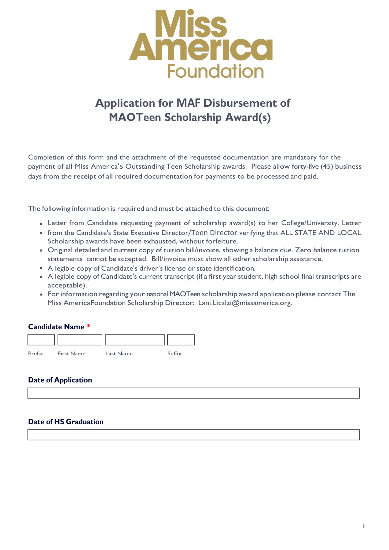

# **Application for MAF Disbursement of MAOTeen Scholarship Award(s)**

Completion of this form and the attachment of the requested documentation are mandatory for the payment of all Miss America's Outstanding Teen Scholarship awards. Please allow forty-five (45) business days from the receipt of all required documentation for payments to be processed and paid.

The following information is required and must be attached to this document:

- Letter from Candidate requesting payment of scholarship award(s) to her College/University. Letter
- from the Candidate's State Executive Director/Teen Director verifying that ALL STATE AND LOCAL Scholarship awards have been exhausted, without forfeiture.
- Original detailed and current copy of tuition bill/invoice, showing a balance due. Zero balance tuition statements cannot be accepted. Bill/invoice must show all other scholarship assistance.
- A legible copy of Candidate's driver's license or state identification.
- A legible copy of Candidate's current transcript (if a first year student, high school final transcripts are acceptable).
- For information regarding your national MAOTeen scholarship award application please contact The Miss AmericaFoundation Scholarship Director: [Lani.Licalzi@missamerica.org.](mailto:Lani.Licalzi@missamerica.org)

1

#### **Candidate Name \***

| Prefix | <b>First Name</b> | Last Name | Suffix |
|--------|-------------------|-----------|--------|

#### **Date of Application**

#### **Date of HS Graduation**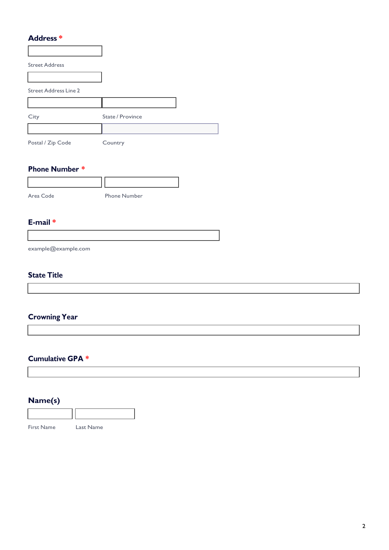#### **Address \***

| <b>Street Address</b>        |                  |  |
|------------------------------|------------------|--|
|                              |                  |  |
| <b>Street Address Line 2</b> |                  |  |
|                              |                  |  |
| City                         | State / Province |  |
|                              |                  |  |
| Postal / Zip Code            | Country          |  |

#### **Phone Number \***

| Area Code | <b>Phone Number</b> |
|-----------|---------------------|

#### **E-mail \***

[example@example.com](mailto:example@example.com)

#### **State Title**

## **Crowning Year**

#### **Cumulative GPA \***

## **Name(s)**

| <b>First Name</b> | Last Name |
|-------------------|-----------|

2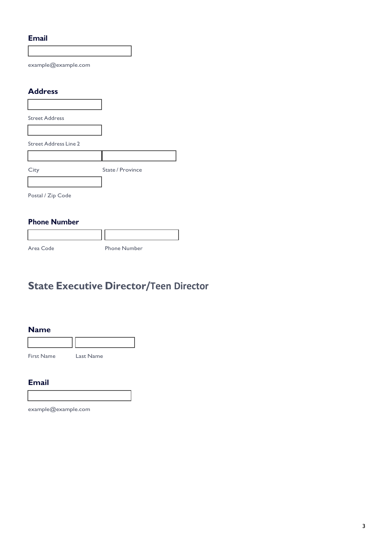#### **Email**

[example@example.com](mailto:example@example.com)

#### **Address**

| <b>Street Address</b>        |                  |
|------------------------------|------------------|
|                              |                  |
| <b>Street Address Line 2</b> |                  |
|                              |                  |
| City                         | State / Province |
|                              |                  |
| Postal / Zip Code            |                  |

#### **Phone Number**

Area Code Phone Number

# **State Executive Director/Teen Director**

#### **Name**

| <b>First Name</b> | Last Name |  |
|-------------------|-----------|--|

#### **Email**

[example@example.com](mailto:example@example.com)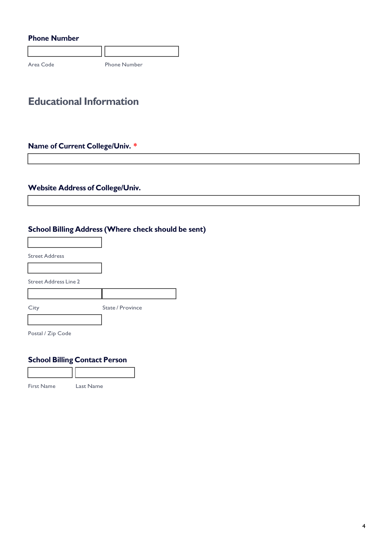### **Phone Number**

Area Code Phone Number

# **Educational Information**

## **Name of Current College/Univ. \***

## **Website Address of College/Univ.**

## **School Billing Address (Where check should be sent)**

| <b>Street Address</b>        |                  |
|------------------------------|------------------|
|                              |                  |
| <b>Street Address Line 2</b> |                  |
|                              |                  |
| City                         | State / Province |
|                              |                  |
|                              |                  |

Postal / Zip Code

Г

#### **School Billing Contact Person**

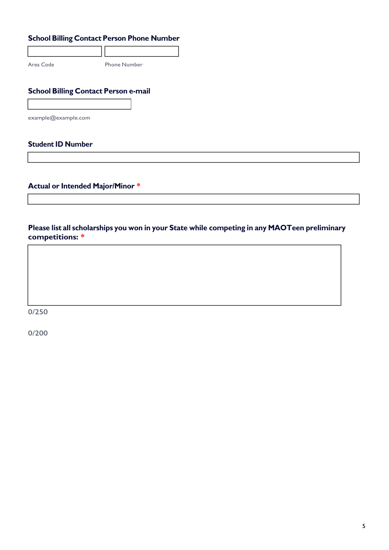## **School Billing Contact Person Phone Number**

Area Code Phone Number

## **School Billing Contact Person e-mail**

[example@example.com](mailto:example@example.com)

#### **Student ID Number**

**Actual or Intended Major/Minor \***

**Please list all scholarships you won in your State while competing in any MAOTeen preliminary competitions: \***

0/250

0/200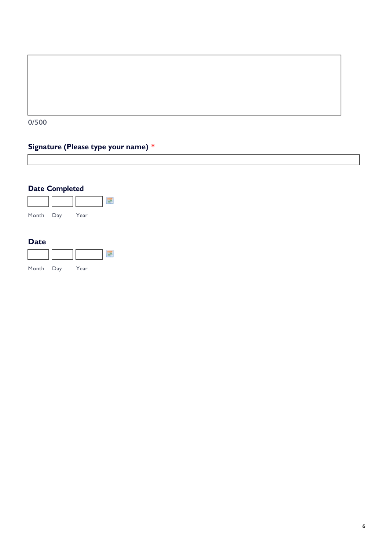

## **Signature (Please type your name) \***

## **Date Completed**